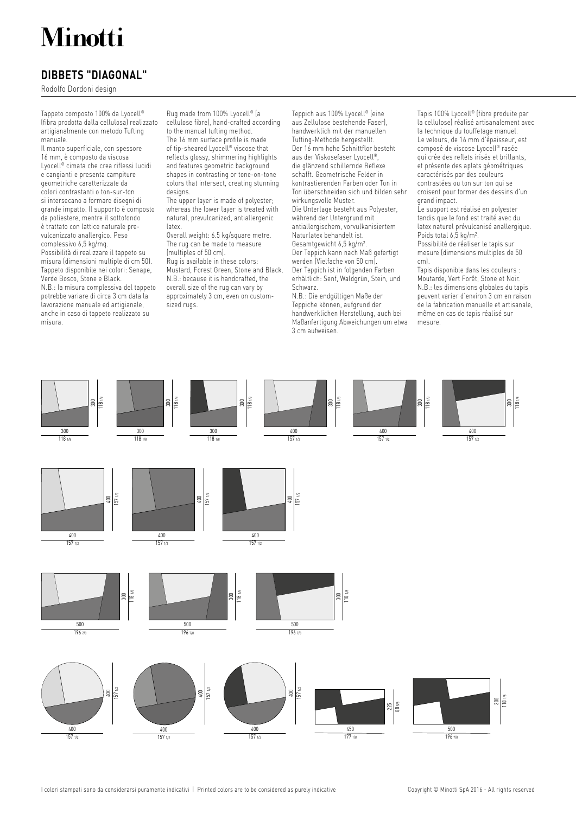# Minotti

# **DIBBETS "DIAGONAL"**

Rodolfo Dordoni design

Tappeto composto 100% da Lyocell® (fibra prodotta dalla cellulosa) realizzato artigianalmente con metodo Tufting manuale.

Il manto superficiale, con spessore 16 mm, è composto da viscosa Lyocell® cimata che crea riflessi lucidi e cangianti e presenta campiture geometriche caratterizzate da colori contrastanti o ton-sur-ton si intersecano a formare disegni di grande impatto. Il supporto è composto da poliestere, mentre il sottofondo è trattato con lattice naturale prevulcanizzato anallergico. Peso complessivo 6,5 kg/mq. Possibilità di realizzare il tappeto su misura (dimensioni multiple di cm 50). Tappeto disponibile nei colori: Senape, Verde Bosco, Stone e Black. N.B.: la misura complessiva del tappeto potrebbe variare di circa 3 cm data la lavorazione manuale ed artigianale, anche in caso di tappeto realizzato su misura.

Rug made from 100% Lyocell® (a cellulose fibre), hand-crafted according to the manual tufting method. The 16 mm surface profile is made of tip-sheared Lyocell® viscose that reflects glossy, shimmering highlights and features geometric background shapes in contrasting or tone-on-tone colors that intersect, creating stunning designs.

The upper layer is made of polyester; whereas the lower layer is treated with natural, prevulcanized, antiallergenic latex.

Overall weight: 6.5 kg/square metre. The rug can be made to measure (multiples of 50 cm). Rug is available in these colors: Mustard, Forest Green, Stone and Black. N.B.: because it is handcrafted, the overall size of the rug can vary by approximately 3 cm, even on customsized rugs.

Teppich aus 100% Lyocell® (eine aus Zellulose bestehende Faser), handwerklich mit der manuellen Tufting-Methode hergestellt. Der 16 mm hohe Schnittflor besteht aus der Viskosefaser Lyocell®, die glänzend schillernde Reflexe schafft. Geometrische Felder in kontrastierenden Farben oder Ton in Ton überschneiden sich und bilden sehr wirkungsvolle Muster. Die Unterlage besteht aus Polyester, während der Untergrund mit antiallergischem, vorvulkanisiertem Naturlatex behandelt ist. Gesamtgewicht 6,5 kg/m². Der Teppich kann nach Maß gefertigt werden (Vielfache von 50 cm). Der Teppich ist in folgenden Farben erhältlich: Senf, Waldgrün, Stein, und Schwarz.

N.B.: Die endgültigen Maße der Teppiche können, aufgrund der handwerklichen Herstellung, auch bei Maßanfertigung Abweichungen um etwa 3 cm aufweisen.

Tapis 100% Lyocell® (fibre produite par la cellulose) réalisé artisanalement avec la technique du touffetage manuel. Le velours, de 16 mm d'épaisseur, est composé de viscose Lyocell® rasée qui crée des reflets irisés et brillants, et présente des aplats géométriques caractérisés par des couleurs contrastées ou ton sur ton qui se croisent pour former des dessins d'un grand impact.

Le support est réalisé en polyester tandis que le fond est traité avec du latex naturel prévulcanisé anallergique. Poids total 6,5 kg/m². Possibilité de réaliser le tapis sur mesure (dimensions multiples de 50 cm).

Tapis disponible dans les couleurs : Moutarde, Vert Forêt, Stone et Noir. N.B.: les dimensions globales du tapis peuvent varier d'environ 3 cm en raison de la fabrication manuelle et artisanale, même en cas de tapis réalisé sur mesure.



I colori stampati sono da considerarsi puramente indicativi | Printed colors are to be considered as purely indicative Copyright © Minotti SpA 2016 - All rights reserved